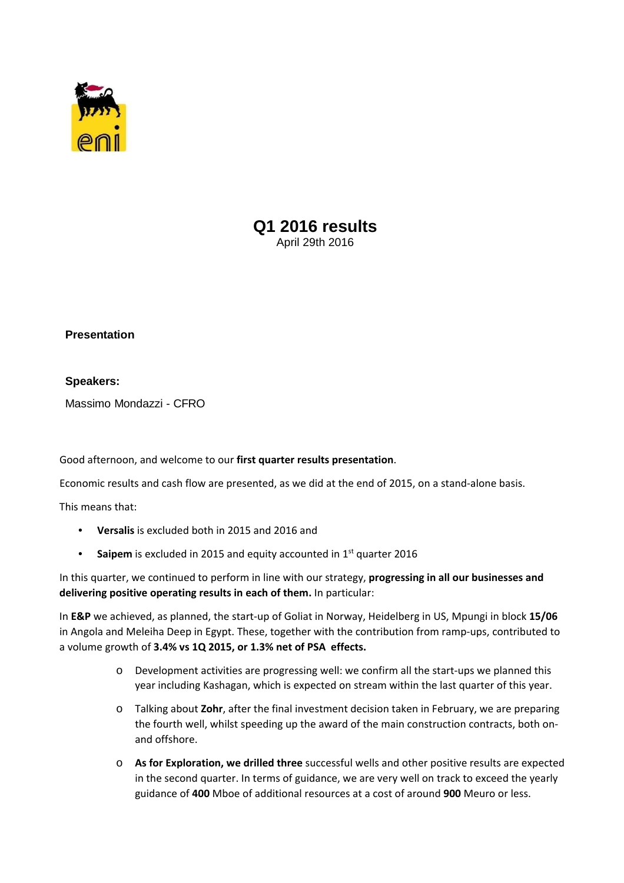

# **Q1 2016 results**  April 29th 2016

## **Presentation**

### **Speakers:**

Massimo Mondazzi - CFRO

Good afternoon, and welcome to our **first quarter results presentation**.

Economic results and cash flow are presented, as we did at the end of 2015, on a stand‐alone basis.

This means that:

- **Versalis** is excluded both in 2015 and 2016 and
- Saipem is excluded in 2015 and equity accounted in 1<sup>st</sup> quarter 2016

In this quarter, we continued to perform in line with our strategy, **progressing in all our businesses and delivering positive operating results in each of them.** In particular:

In **E&P** we achieved, as planned, the start‐up of Goliat in Norway, Heidelberg in US, Mpungi in block **15/06** in Angola and Meleiha Deep in Egypt. These, together with the contribution from ramp‐ups, contributed to a volume growth of **3.4% vs 1Q 2015, or 1.3% net of PSA effects.**

- o Development activities are progressing well: we confirm all the start‐ups we planned this year including Kashagan, which is expected on stream within the last quarter of this year.
- o Talking about **Zohr**, after the final investment decision taken in February, we are preparing the fourth well, whilst speeding up the award of the main construction contracts, both on‐ and offshore.
- o **As for Exploration, we drilled three** successful wells and other positive results are expected in the second quarter. In terms of guidance, we are very well on track to exceed the yearly guidance of **400** Mboe of additional resources at a cost of around **900** Meuro or less.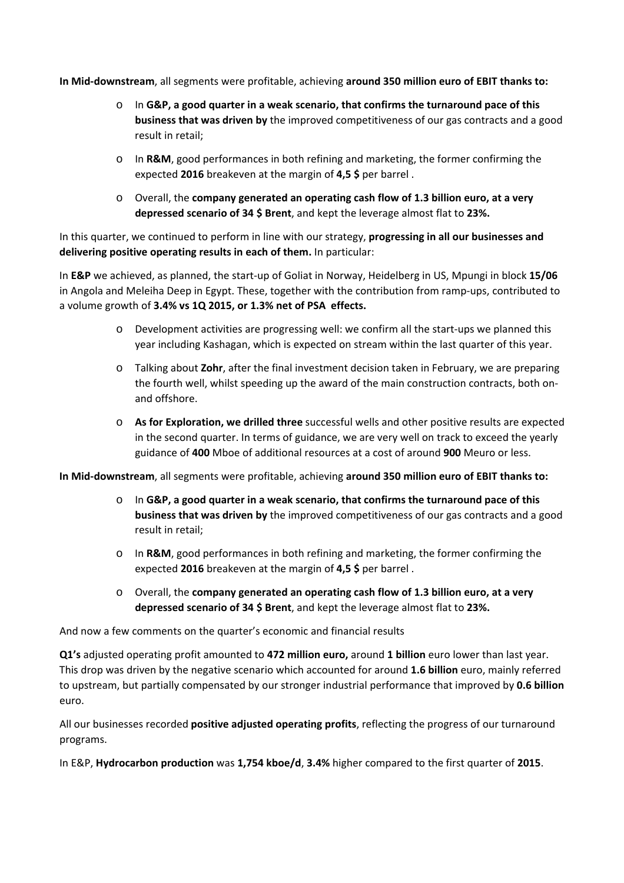**In Mid‐downstream**, all segments were profitable, achieving **around 350 million euro of EBIT thanks to:**

- o In **G&P, a good quarter in a weak scenario, that confirms the turnaround pace of this business that was driven by** the improved competitiveness of our gas contracts and a good result in retail;
- o In **R&M**, good performances in both refining and marketing, the former confirming the expected **2016** breakeven at the margin of **4,5 \$** per barrel .
- o Overall, the **company generated an operating cash flow of 1.3 billion euro, at a very depressed scenario of 34 \$ Brent**, and kept the leverage almost flat to **23%.**

In this quarter, we continued to perform in line with our strategy, **progressing in all our businesses and delivering positive operating results in each of them.** In particular:

In **E&P** we achieved, as planned, the start‐up of Goliat in Norway, Heidelberg in US, Mpungi in block **15/06** in Angola and Meleiha Deep in Egypt. These, together with the contribution from ramp‐ups, contributed to a volume growth of **3.4% vs 1Q 2015, or 1.3% net of PSA effects.**

- o Development activities are progressing well: we confirm all the start‐ups we planned this year including Kashagan, which is expected on stream within the last quarter of this year.
- o Talking about **Zohr**, after the final investment decision taken in February, we are preparing the fourth well, whilst speeding up the award of the main construction contracts, both on‐ and offshore.
- o **As for Exploration, we drilled three** successful wells and other positive results are expected in the second quarter. In terms of guidance, we are very well on track to exceed the yearly guidance of **400** Mboe of additional resources at a cost of around **900** Meuro or less.

**In Mid‐downstream**, all segments were profitable, achieving **around 350 million euro of EBIT thanks to:**

- o In **G&P, a good quarter in a weak scenario, that confirms the turnaround pace of this business that was driven by** the improved competitiveness of our gas contracts and a good result in retail;
- o In **R&M**, good performances in both refining and marketing, the former confirming the expected **2016** breakeven at the margin of **4,5 \$** per barrel .
- o Overall, the **company generated an operating cash flow of 1.3 billion euro, at a very depressed scenario of 34 \$ Brent**, and kept the leverage almost flat to **23%.**

And now a few comments on the quarter's economic and financial results

**Q1's** adjusted operating profit amounted to **472 million euro,** around **1 billion** euro lower than last year. This drop was driven by the negative scenario which accounted for around **1.6 billion** euro, mainly referred to upstream, but partially compensated by our stronger industrial performance that improved by **0.6 billion** euro.

All our businesses recorded **positive adjusted operating profits**, reflecting the progress of our turnaround programs.

In E&P, **Hydrocarbon production** was **1,754 kboe/d**, **3.4%** higher compared to the first quarter of **2015**.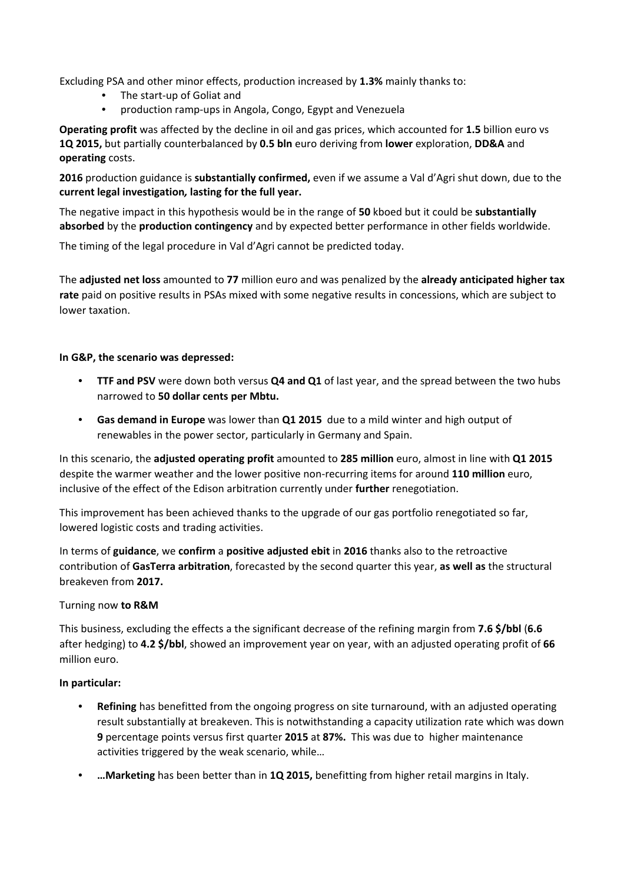Excluding PSA and other minor effects, production increased by **1.3%** mainly thanks to:

- The start‐up of Goliat and
- production ramp‐ups in Angola, Congo, Egypt and Venezuela

**Operating profit** was affected by the decline in oil and gas prices, which accounted for **1.5** billion euro vs **1Q 2015,** but partially counterbalanced by **0.5 bln** euro deriving from **lower** exploration, **DD&A** and **operating** costs.

**2016** production guidance is **substantially confirmed,** even if we assume a Val d'Agri shut down, due to the **current legal investigation***,* **lasting for the full year.**

The negative impact in this hypothesis would be in the range of **50** kboed but it could be **substantially absorbed** by the **production contingency** and by expected better performance in other fields worldwide.

The timing of the legal procedure in Val d'Agri cannot be predicted today.

The **adjusted net loss** amounted to **77** million euro and was penalized by the **already anticipated higher tax rate** paid on positive results in PSAs mixed with some negative results in concessions, which are subject to lower taxation.

### **In G&P, the scenario was depressed:**

- **TTF and PSV** were down both versus **Q4 and Q1** of last year, and the spread between the two hubs narrowed to **50 dollar cents per Mbtu.**
- **Gas demand in Europe** was lower than **Q1 2015** due to a mild winter and high output of renewables in the power sector, particularly in Germany and Spain.

In this scenario, the **adjusted operating profit** amounted to **285 million** euro, almost in line with **Q1 2015** despite the warmer weather and the lower positive non‐recurring items for around **110 million** euro, inclusive of the effect of the Edison arbitration currently under **further** renegotiation.

This improvement has been achieved thanks to the upgrade of our gas portfolio renegotiated so far, lowered logistic costs and trading activities.

In terms of **guidance**, we **confirm** a **positive adjusted ebit** in **2016** thanks also to the retroactive contribution of **GasTerra arbitration**, forecasted by the second quarter this year, **as well as** the structural breakeven from **2017.**

### Turning now **to R&M**

This business, excluding the effects a the significant decrease of the refining margin from **7.6 \$/bbl** (**6.6** after hedging) to **4.2 \$/bbl**, showed an improvement year on year, with an adjusted operating profit of **66** million euro.

### **In particular:**

- **Refining** has benefitted from the ongoing progress on site turnaround, with an adjusted operating result substantially at breakeven. This is notwithstanding a capacity utilization rate which was down **9** percentage points versus first quarter **2015** at **87%.** This was due to higher maintenance activities triggered by the weak scenario, while…
- **…Marketing** has been better than in **1Q 2015,** benefitting from higher retail margins in Italy.